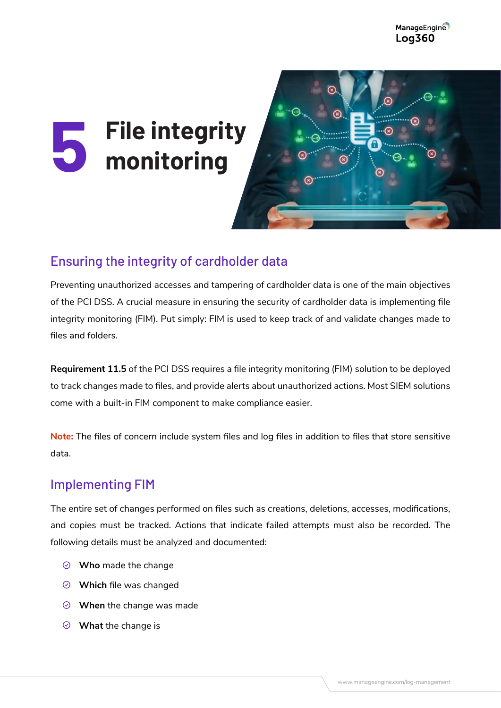# **File integrity monitoring 5**



## Ensuring the integrity of cardholder data

Preventing unauthorized accesses and tampering of cardholder data is one of the main objectives of the PCI DSS. A crucial measure in ensuring the security of cardholder data is implementing file integrity monitoring (FIM). Put simply: FIM is used to keep track of and validate changes made to files and folders.

**Requirement 11.5** of the PCI DSS requires a file integrity monitoring (FIM) solution to be deployed to track changes made to files, and provide alerts about unauthorized actions. Most SIEM solutions come with a built-in FIM component to make compliance easier.

**Note:** The files of concern include system files and log files in addition to files that store sensitive data.

#### Implementing FIM

The entire set of changes performed on files such as creations, deletions, accesses, modifications, and copies must be tracked. Actions that indicate failed attempts must also be recorded. The following details must be analyzed and documented:

- **Who** made the change
- **Which** file was changed
- **When** the change was made
- **What** the change is